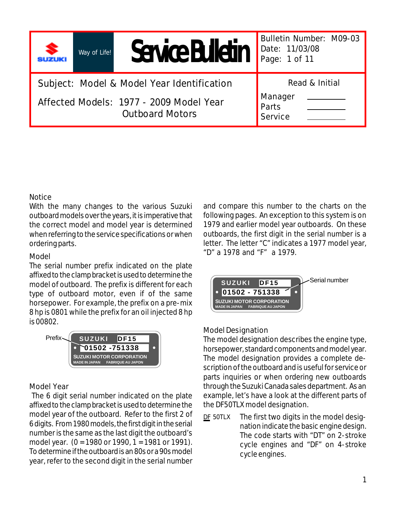**Way of Life!**

# Service Bulletin

**Bulletin Number: M09-03 Date: 11/03/08 Page: 1 of 11**

 **Read & Initial**

**Subject: Model & Model Year Identification**

**Affected Models: 1977 - 2009 Model Year Outboard Motors**

| Manager        |  |
|----------------|--|
| Parts          |  |
| <b>Service</b> |  |

# **Notice**

With the many changes to the various Suzuki outboard models over the years, it is imperative that the correct model and model year is determined when referring to the service specifications or when ordering parts.

# **Model**

The serial number prefix indicated on the plate affixed to the clamp bracket is used to determine the model of outboard. The prefix is different for each type of outboard motor, even if of the same horsepower. For example, the prefix on a pre-mix 8 hp is 0801 while the prefix for an oil injected 8 hp is 00802.



# **Model Year**

 The 6 digit serial number indicated on the plate affixed to the clamp bracket is used to determine the model year of the outboard. Refer to the first 2 of 6 digits. From 1980 models, the first digit in the serial number is the same as the last digit the outboard's model year. (0 = 1980 or 1990, 1 = 1981 or 1991). To determine if the outboard is an 80s or a 90s model year, refer to the second digit in the serial number

and compare this number to the charts on the following pages. An exception to this system is on 1979 and earlier model year outboards. On these outboards, the first digit in the serial number is a letter. The letter "C" indicates a 1977 model year, "D" a 1978 and "F" a 1979.



# **Model Designation**

The model designation describes the engine type, horsepower, standard components and model year. The model designation provides a complete description of the outboard and is useful for service or parts inquiries or when ordering new outboards through the Suzuki Canada sales department. As an example, let's have a look at the different parts of the DF50TLX model designation.

The first two digits in the model designation indicate the basic engine design. The code starts with "DT" on 2-stroke cycle engines and "DF" on 4-stroke cycle engines. **DF 50TLX**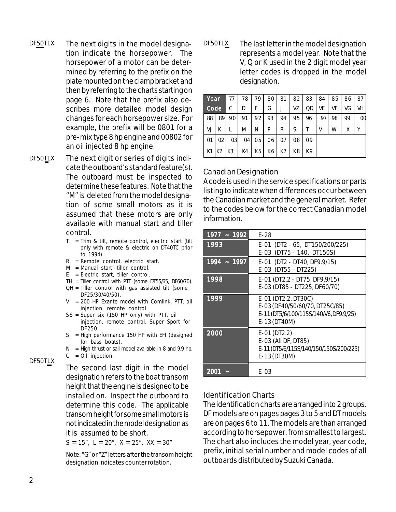- The next digits in the model designa-**DF50TLX DF50TLX** tion indicate the horsepower. The horsepower of a motor can be determined by referring to the prefix on the plate mounted on the clamp bracket and then by referring to the charts starting on page 6. Note that the prefix also describes more detailed model design changes for each horsepower size. For example, the prefix will be 0801 for a pre-mix type 8 hp engine and 00802 for an oil injected 8 hp engine.
- The next digit or series of digits indicate the outboard's standard feature(s). The outboard must be inspected to determine these features. Note that the "M" is deleted from the model designation of some small motors as it is assumed that these motors are only available with manual start and tiller control. **DF50TLX**
	- $T = Trim$  & tilt, remote control, electric start (tilt only with remote & electric on DT40TC prior to 1994).
	- $R =$  Remote control, electric start.
	- M = Manual start, tiller control.
	- E = Electric start, tiller control.
	- TH = Tiller control with PTT (some DT55/65, DF60/70).
	- QH = Tiller control with gas assisted tilt (some DF25/30/40/50).
	- V = 200 HP Exante model with Comlink, PTT, oil injection, remote control.
	- SS = Super six (150 HP only) with PTT, oil injection, remote control. Super Sport for DF250
	- S = High performance 150 HP with EFI (designed for bass boats).
	- $N =$  High thrust or sail model available in 8 and 9.9 hp.

 $C = Oil$  injection.

The second last digit in the model designation refers to the boat transom height that the engine is designed to be installed on. Inspect the outboard to determine this code. The applicable transom height for some small motors is not indicated in the model designation as it is assumed to be short.

 $S = 15$ ",  $L = 20$ ",  $X = 25$ ",  $XX = 30$ "

Note: "G" or "Z" letters after the transom height designation indicates counter rotation.

The last letter in the model designation represents a model year. Note that the V, Q or K used in the 2 digit model year letter codes is dropped in the model designation.

| Year |    | 77 | 78 | 79             | 80 | 81 | 82 | 83 | 84 | 85 | 86 | 87 |
|------|----|----|----|----------------|----|----|----|----|----|----|----|----|
| Code |    | С  | D  |                | G  |    | VZ | QD | VE | VF | VG | VH |
| 88   | 89 | 90 | 91 | 92             | 93 | 94 | 95 | 96 | 97 | 98 | 99 | OO |
| VJ   |    |    | M  | N              | P  | R  | S  |    | V  | W  | Χ  |    |
| 01   | 02 | 03 | 04 | 05             | 06 | 07 | 08 | 09 |    |    |    |    |
| K1   | K2 | K3 | K4 | K <sub>5</sub> | K6 | K7 | K8 | K9 |    |    |    |    |

# **Canadian Designation**

A code is used in the service specifications or parts listing to indicate when differences occur between the Canadian market and the general market. Refer to the codes below for the correct Canadian model information.

| 1977 ~ 1992   | E-28                                                                                                            |
|---------------|-----------------------------------------------------------------------------------------------------------------|
| 1993          | E-01 (DT2 - 65, DT150/200/225)<br>E-03 (DT75 - 140, DT150S)                                                     |
| $1994 - 1997$ | E-01 (DT2 - DT40, DF9.9/15)<br>E-03 (DT55 - DT225)                                                              |
| 1998          | E-01 (DT2.2 - DT75, DF9.9/15)<br>E-03 (DT85 - DT225, DF60/70)                                                   |
| 1999          | E-01 (DT2.2, DT30C)<br>E-03 (DF40/50/60/70, DT25C/85)<br>E-11 (DT5/6/100/115S/140/V6, DF9.9/25)<br>E-13 (DT40M) |
| 2000          | $E-01$ (DT2.2)<br>E-03 (All DF, DT85)<br>E-11 (DT5/6/115S/140/150/150S/200/225)<br>E-13 (DT30M)                 |
| 2001          | E-03                                                                                                            |

# **Identification Charts**

The identification charts are arranged into 2 groups. DF models are on pages pages 3 to 5 and DT models are on pages 6 to 11. The models are than arranged according to horsepower, from smallest to largest. The chart also includes the model year, year code, prefix, initial serial number and model codes of all outboards distributed by Suzuki Canada.

**DF50TLX**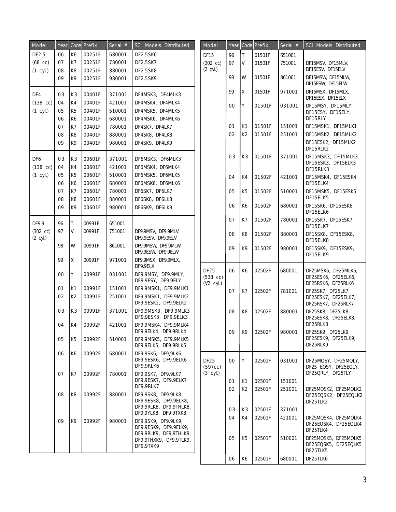| Model                     | Year |                | Code Prefix | Serial # | SCI Models Distributed                                                 | Model              | Year |                | Code Prefix | Serial $#$ | SCI Models Distributed                                         |
|---------------------------|------|----------------|-------------|----------|------------------------------------------------------------------------|--------------------|------|----------------|-------------|------------|----------------------------------------------------------------|
| DF2.5                     | 06   | K <sub>6</sub> | 00251F      | 680001   | DF2.5SK6                                                               | <b>DF15</b>        | 96   | $\top$         | 01501F      | 651001     |                                                                |
| $(68$ cc)                 | 07   | K7             | 00251F      | 780001   | DF2.5SK7                                                               | $(302$ cc)         | 97   | V              | 01501F      | 751001     | DF15MSV, DF15MLV,                                              |
| $(1$ cyl.)                | 08   | K <sub>8</sub> | 00251F      | 880001   | <b>DF2.5SK8</b>                                                        | $(2 \text{ cyl.})$ |      |                |             |            | DF15ESV, DF15ELV                                               |
|                           | 09   | K9             | 00251F      | 980001   | DF2.5SK9                                                               |                    | 98   | W              | 01501F      | 861001     | DF15MSW, DF15MLW,<br>DF15ESW, DF15ELW                          |
| DF4                       | 03   | K <sub>3</sub> | 00401F      | 371001   | DF4MSK3, DF4MLK3                                                       |                    | 99   | X              | 01501F      | 971001     | DF15MSX, DF15MLX,                                              |
| $(138 \text{ cc})$        | 04   | K4             | 00401F      | 421001   | DF4MSK4, DF4MLK4                                                       |                    |      | Y              |             |            | DF15ESX, DF15ELX                                               |
| $(1$ cyl.)                | 05   | K <sub>5</sub> | 00401F      | 510001   | DF4MSK5, DF4MLK5                                                       |                    | 00   |                | 01501F      | 031001     | DF15MSY, DF15MLY,<br>DF15ESY, DF15ELY,                         |
|                           | 06   | K <sub>6</sub> | 00401F      | 680001   | DF4MSK6, DF4MLK6                                                       |                    |      |                |             |            | DF15RLY                                                        |
|                           | 07   | K7             | 00401F      | 780001   | DF4SK7, DF4LK7                                                         |                    | 01   | K <sub>1</sub> | 01501F      | 151001     | DF15MSK1, DF15MLK1                                             |
|                           | 08   | K <sub>8</sub> | 00401F      | 880001   | DF4SK8, DF4LK8                                                         |                    | 02   | K <sub>2</sub> | 01501F      | 251001     | DF15MSK2, DF15MLK2                                             |
|                           | 09   | K9             | 00401F      | 980001   | DF4SK9, DF4LK9                                                         |                    |      |                |             |            | DF15ESK2, DF15MLK2<br>DF15RLK2                                 |
| DF6                       | 03   | K <sub>3</sub> | 00601F      | 371001   | DF6MSK3, DF6MLK3                                                       |                    | 03   | K <sub>3</sub> | 01501F      | 371001     | DF15MSK3, DF15MLK3                                             |
| $(138$ cc)                | 04   | K4             | 00601F      | 421001   | DF6MSK4, DF6MLK4                                                       |                    |      |                |             |            | DF15ESK3, DF15ELK3                                             |
| $(1$ cyl.)                | 05   | K <sub>5</sub> | 00601F      | 510001   | DF6MSK5, DF6MLK5                                                       |                    | 04   | K4             |             |            | DF15RLK3<br>DF15MSK4, DF15ESK4                                 |
|                           | 06   | K <sub>6</sub> | 00601F      | 680001   | DF6MSK6, DF6MLK6                                                       |                    |      |                | 01502F      | 421001     | DF15ELK4                                                       |
|                           | 07   | K7             | 00601F      | 780001   | DF6SK7, DF6LK7                                                         |                    | 05   | K <sub>5</sub> | 01502F      | 510001     | DF15MSK5, DF15ESK5                                             |
|                           | 08   | K <sub>8</sub> | 00601F      | 880001   | DF6SK8, DF6LK8                                                         |                    |      |                |             |            | DF15ELK5                                                       |
|                           | 09   | K9             | 00601F      | 980001   | DF6SK9, DF6LK9                                                         |                    | 06   | K6             | 01502F      | 680001     | DF15SK6, DF15ESK6<br>DF15ELK6                                  |
| DF9.9                     | 96   | Iт             | 00991F      | 651001   |                                                                        |                    | 07   | K7             | 01502F      | 780001     | DF15SK7, DF15ESK7<br>DF15ELK7                                  |
| $(302)$ cc)<br>$(2$ cyl.) | 97   | I٧             | 00991F      | 751001   | DF9.9MSV, DF9.9MLV,<br>DF9.9ESV, DF9.9ELV                              |                    | 08   | K8             | 01502F      | 880001     | DF15SK8, DF15ESK8,<br>DF15ELK8                                 |
|                           | 98   | l W            | 00991F      | 861001   | DF9.9MSW, DF9.9MLW,<br>DF9.9ESW, DF9.9ELW                              |                    | 09   | K9             | 01502F      | 980001     | DF15SK9, DF15ESK9,<br>DF15ELK9                                 |
|                           | 99   | ΙX             | 00991F      | 971001   | DF9.9MSX, DF9.9MLX,<br>DF9.9ELX                                        | <b>DF25</b>        |      |                |             |            |                                                                |
|                           | 00   | IΥ             | 00991F      | 031001   | DF9.9MSY, DF9.9MLY,<br>DF9.9ESY, DF9.9ELY                              | $(538$ cc)         | 06   | K6             | 02502F      | 680001     | DF25MSK6, DF25MLK6,<br>DF25ESK6, DF25ELK6,                     |
|                           | 01   | K <sub>1</sub> | 00991F      | 151001   | DF9.9MSK1, DF9.9MLK1                                                   | $(V2$ cyl.)        |      |                |             |            | DF25RSK6, DF25RLK6                                             |
|                           | 02   | K <sub>2</sub> | 00991F      | 251001   | DF9.9MSK1, DF9.9MLK2<br>DF9.9ESK2, DF9.9ELK2                           |                    | 07   | K7             | 02502F      | 781001     | DF25SK7, DF25LK7,<br>DF25ESK7, DF25ELK7,<br>DF25RSK7, DF25RLK7 |
|                           | 03   | K <sub>3</sub> | 00991F      | 371001   | DF9.9MSK3, DF9.9MLK3<br>DF9.9ESK3, DF9.9ELK3                           |                    | 08   | K8             | 02502F      | 880001     | DF25SK8, DF25LK8,<br>DF25ESK8, DF25ELK8,                       |
|                           | 04   | K4             | 00992F      | 421001   | DF9.9MSK4, DF9,9MLK4                                                   |                    |      |                |             |            | DF25RLK8                                                       |
|                           | 05   | K <sub>5</sub> | 00992F      | 510001   | DF9.9ELK4, DF9.9RLK4<br>DF9.9MSK5, DF9.9MLK5                           |                    | 09   | K9             | 02502F      | 980001     | DF25SK9, DF25LK9,<br>DF25ESK9, DF25ELK9,<br>DF25RLK9           |
|                           |      |                |             |          | DF9.9ELK5, DF9.9RLK5                                                   |                    |      |                |             |            |                                                                |
|                           | 06   | K6             | 00992F      | 680001   | DF9.9SK6, DF9,9LK6,<br>DF9.9ESK6, DF9.9ELK6                            | <b>DF25</b>        | 00   | Y              | 02501F      | 031001     | DF25MQSY, DF25MQLY,                                            |
|                           |      |                |             |          | DF9.9RLK6                                                              | (597cc)            |      |                |             |            | DF25 EQSY, DF25EQLY,                                           |
|                           | 07   | K7             | 00992F      | 780001   | DF9.9SK7, DF9.9LK7,                                                    | $(3$ cyl.)         |      |                |             |            | DF25QRLY, DF25TLY                                              |
|                           |      |                |             |          | DF9.9ESK7, DF9.9ELK7<br>DF9.9RLK7                                      |                    | 01   | K1             | 02501F      | 151001     |                                                                |
|                           | 08   | K8             | 00992F      | 880001   | DF9.9SK8, DF9.9LK8,                                                    |                    | 02   | K <sub>2</sub> | 02501F      | 251001     | DF25MQSK2, DF25MQLK2                                           |
|                           |      |                |             |          | DF9.9ESK8, DF9.9ELK8,                                                  |                    |      |                |             |            | DF25EQSK2, DF25EQLK2<br>DF25TLK2                               |
|                           |      |                |             |          | DF9.9RLK8, DF9,9THLK8,                                                 |                    | 03   | K3             | 02501F      | 371001     |                                                                |
|                           |      |                |             |          | DF9.9YLK8, DF9.9TXK8                                                   |                    | 04   | K4             | 02501F      | 421001     | DF25MQSK4, DF25MQLK4                                           |
|                           | 09   | K9             | 00992F      | 980001   | DF9.9SK9, DF9.9LK9,<br>DF9.9ESK9, DF9.9ELK9,<br>DF9.9RLK9, DF9,9THLK9, |                    |      |                |             |            | DF25EQSK4, DF25EQLK4<br>DF25TLK4                               |
|                           |      |                |             |          | DF9.9THXK9, DF9.9TLK9,                                                 |                    | 05   | K <sub>5</sub> | 02501F      | 510001     | DF25MQSK5, DF25MQLK5                                           |
|                           |      |                |             |          | DF9.9TXK9                                                              |                    |      |                |             |            | DF25EQSK5, DF25EQLK5<br>DF25TLK5                               |
|                           |      |                |             |          |                                                                        |                    | 06   | K6             | 02501F      | 680001     | DF25TLK6                                                       |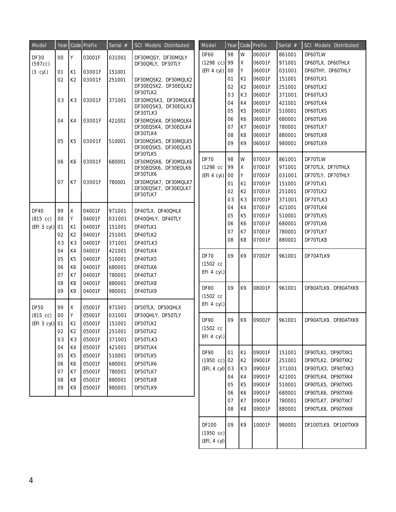| Model           | Year |                | Code Prefix | Serial $#$ | SCI Models Distributed                    | Model                  | Year |                | Code Prefix      | Serial $#$ | SCI Models Distributed |
|-----------------|------|----------------|-------------|------------|-------------------------------------------|------------------------|------|----------------|------------------|------------|------------------------|
| DF30            | 00   | Y              | 03001F      | 031001     | DF30MQSY, DF30MQLY                        | DF60                   | 98   | W              | 06001F           | 861001     | DF60TLW                |
| (597cc)         |      |                |             |            | DF30QRLY, DF30TLY                         | $(1298 \text{ cc})$ 99 |      | Χ              | 06001F           | 971001     | DF60TLX, DF60THLX      |
| $(3$ cyl.)      | 01   | K1             | 03001F      | 151001     |                                           | $(EFI 4 cyl.)$ 00      |      | Y              | 06001F           | 031001     | DF60THY, DF60THLY      |
|                 | 02   | K <sub>2</sub> | 03001F      | 251001     | DF30MQSK2, DF30MQLK2                      |                        | 01   | K <sub>1</sub> | 06001F           | 151001     | DF60TLK1               |
|                 |      |                |             |            | DF30EQSK2, DF30EQLK2                      |                        | 02   | K <sub>2</sub> | 06001F           | 251001     | DF60TLK2               |
|                 |      |                |             |            | DF30TLK2                                  |                        | 03   | K <sub>3</sub> | 06001F           | 371001     | DF60TLK3               |
|                 | 03   | K3             | 03001F      | 371001     | DF30MQSK3, DF30MQLK3                      |                        | 04   | K4             | 06001F           | 421001     | DF60TLK4               |
|                 |      |                |             |            | DF30EQSK3, DF30EQLK3<br>DF30TLK3          |                        | 05   | K <sub>5</sub> | 06001F           | 510001     | DF60TLK5               |
|                 | 04   | K4             | 03001F      | 421001     | DF30MQSK4, DF30MQLK4                      |                        | 06   | K6             | 06001F           | 680001     | DF60TLK6               |
|                 |      |                |             |            | DF30EQSK4, DF30EQLK4                      |                        | 07   | K7             | 06001F           | 780001     | DF60TLK7               |
|                 |      |                |             |            | DF30TLK4                                  |                        | 08   | K <sub>8</sub> | 06001F           | 880001     | DF60TLK8               |
|                 | 05   | K <sub>5</sub> | 03001F      | 510001     | DF30MQSK5, DF30MQLK5                      |                        | 09   | K9             | 06001F           | 980001     | DF60TLK9               |
|                 |      |                |             |            | DF30EQSK5, DF30EQLK5<br>DF30TLK5          |                        |      |                |                  |            |                        |
|                 | 06   | K6             | 03001F      | 680001     | DF30MQSK6, DF30MQLK6                      | <b>DF70</b>            | 98   | W              | 07001F           | 861001     | DF70TLW                |
|                 |      |                |             |            | DF30EQSK6, DF30EQLK6                      | $(1298 \ncc)$          | 99   | Χ              | 07001F           | 971001     | DF70TLX, DF70THLX      |
|                 |      |                |             |            | DF30TLK6                                  | $(EFI 4 cyl.)$ 00      |      | Y              | 07001F           | 031001     | DF70TLY, DF70THLY      |
|                 | 07   | K7             | 03001F      | 780001     | DF30MQSK7, DF30MQLK7                      |                        | 01   | K <sub>1</sub> | 07001F           | 151001     | DF70TLK1               |
|                 |      |                |             |            | DF30EQSK7, DF30EQLK7<br>DF30TLK7          |                        | 02   | K <sub>2</sub> | 07001F           | 251001     | DF70TLK2               |
|                 |      |                |             |            |                                           |                        | 03   | K <sub>3</sub> | 07001F           | 371001     | DF70TLK3               |
| <b>DF40</b>     | 99   | Ιx             | 04001F      | 971001     | DF40TLX, DF40QHLX                         |                        | 04   | K4             | 07001F           | 421001     | DF70TLK4               |
|                 | 00   | I Y            | 04001F      |            |                                           |                        | 05   | K <sub>5</sub> | 07001F           | 510001     | DF70TLK5               |
| $(815$ cc)      |      |                |             | 031001     | DF40QHLY, DF40TLY<br>DF40TLK1<br>DF40TLK2 |                        | 06   | K6             | 07001F           | 680001     | DF70TLK6               |
| (EFI 3 cyl.)    | 01   | K1             | 04001F      | 151001     |                                           |                        | 07   | K7             | 07001F           | 780001     | DF70TLK7               |
|                 | 02   | K <sub>2</sub> | 04001F      | 251001     |                                           |                        | 08   | K <sub>8</sub> | 07001F           | 880001     | DF70TLK8               |
|                 | 03   | K <sub>3</sub> | 04001F      | 371001     | DF40TLK3                                  |                        |      |                |                  |            |                        |
|                 | 04   | K4             | 04001F      | 421001     | DF40TLK4                                  | <b>DF70</b>            | 09   | K9             | 07002F           | 961001     | DF70ATLK9              |
|                 | 05   | K <sub>5</sub> | 04001F      | 510001     | DF40TLK5                                  | $(1502 \ncc)$          |      |                |                  |            |                        |
|                 | 06   | K <sub>6</sub> | 04001F      | 680001     | DF40TLK6                                  | $EFI$ 4 cyl.)          |      |                |                  |            |                        |
|                 | 07   | K7             | 04001F      | 780001     | DF40TLK7                                  |                        |      |                |                  |            |                        |
|                 | 08   | K <sub>8</sub> | 04001F      | 880001     | DF40TLK8                                  | <b>DF80</b>            | 09   | K9             | 08001F           | 961001     | DF80ATLK9, DF80ATXK9   |
|                 | 09   | K9             | 04001F      | 980001     | DF40TLK9                                  | $(1502 \ncc)$          |      |                |                  |            |                        |
|                 |      |                |             |            |                                           | $EFI$ 4 cyl.)          |      |                |                  |            |                        |
| <b>DF50</b>     | 99   | Iχ             | 05001F      | 971001     | DF50TLX, DF50QHLX                         |                        |      |                |                  |            |                        |
| $(815$ cc)      | 00   | l Y            | 05001F      | 031001     | DF50QHLY, DF50TLY                         | <b>DF90</b>            | 09   | K9             | 09002F           | 961001     | DF90ATLK9, DF80ATXK9   |
| (EFI 3 cyl.) 01 |      | K1             | 05001F      | 151001     | DF50TLK1                                  | $(1502 \text{ cc})$    |      |                |                  |            |                        |
|                 | 02   | K2             | 05001F      | 251001     | DF50TLK2                                  | $EFI$ 4 cyl.)          |      |                |                  |            |                        |
|                 | 03   | K <sub>3</sub> | 05001F      | 371001     | DF50TLK3                                  |                        |      |                |                  |            |                        |
|                 | 04   | K4             | 05001F      | 421001     | DF50TLK4                                  | DF90                   | 01   | K1             | 09001F           | 151001     | DF90TLK1, DF90TXK1     |
|                 | 05   | K <sub>5</sub> | 05001F      | 510001     | DF50TLK5                                  | $(1950 \text{ cc})$ 02 |      | K <sub>2</sub> | 09001F           | 251001     | DF90TLK2, DF90TXK2     |
|                 | 06   | K <sub>6</sub> | 05001F      | 680001     | DF50TLK6                                  | (EFI, 4 cyl) 03        |      | K <sub>3</sub> | 09001F           | 371001     | DF90TLK3, DF90TXK3     |
|                 | 07   | K7             | 05001F      | 780001     | DF50TLK7                                  |                        |      |                |                  |            |                        |
|                 | 08   | K <sub>8</sub> | 05001F      | 880001     | DF50TLK8                                  |                        | 04   | K4             | 09001F<br>09001F | 421001     | DF90TLK4, DF90TXK4     |
|                 | 09   | K9             | 05001F      | 980001     | DF50TLK9                                  |                        | 05   | K <sub>5</sub> |                  | 510001     | DF90TLK5, DF90TXK5     |
|                 |      |                |             |            |                                           |                        | 06   | K <sub>6</sub> | 09001F           | 680001     | DF90TLK6, DF90TXK6     |
|                 |      |                |             |            |                                           |                        | 07   | K7             | 09001F           | 780001     | DF90TLK7, DF90TXK7     |
|                 |      |                |             |            |                                           |                        | 08   | K8             | 09001F           | 880001     | DF90TLK8, DF90TXK8     |
|                 |      |                |             |            |                                           | DF100                  | 09   | K9             | 10001F           | 980001     | DF100TLK9, DF100TXK9   |
|                 |      |                |             |            |                                           | (1950 cc)              |      |                |                  |            |                        |

(EFI, 4 cyl)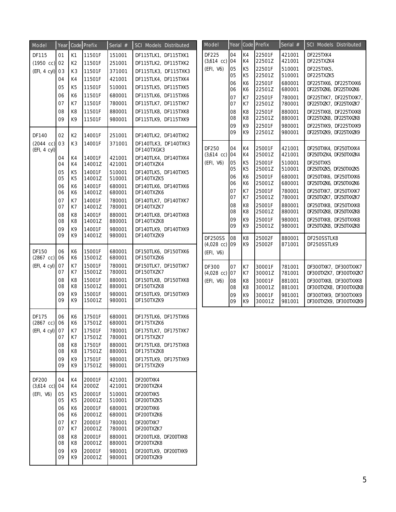| Model                | Year     |                                  | <b>Code</b> Prefix | Serial #         | <b>SCI Models Distributed</b>                |
|----------------------|----------|----------------------------------|--------------------|------------------|----------------------------------------------|
| DF115                | 01       | K1                               | 11501F             | 151001           | DF115TLK1, DF115TXK1                         |
| $(1950 \text{ cc})$  | 02       | K2                               | 11501F             | 251001           | DF115TLK2, DF115TXK2                         |
| (EFI, 4 cyl)         | 03       | K <sub>3</sub>                   | 11501F             | 371001           | DF115TLK3, DF115TXK3                         |
|                      | 04       | K4                               | 11501F             | 421001           | DF115TLK4, DF115TXK4                         |
|                      | 05       | K <sub>5</sub>                   | 11501F             | 510001           | DF115TLK5, DF115TXK5                         |
|                      | 06       | К6                               | 11501F<br>11501F   | 680001           | DF115TLK6, DF115TXK6                         |
|                      | 07<br>08 | K7<br>K <sub>8</sub>             | 11501F             | 780001<br>880001 | DF115TLK7, DF115TXK7<br>DF115TLK8, DF115TXK8 |
|                      | 09       | K9                               | 11501F             | 980001           | DF115TLK9, DF115TXK9                         |
|                      |          |                                  |                    |                  |                                              |
| DF140                | 02       | K <sub>2</sub>                   | 14001F             | 251001           | DF140TLK2, DF140TXK2                         |
| $(2044 \text{ cc})$  | 03       | K <sub>3</sub>                   | 14001F             | 371001           | DF140TLK3, DF140TXK3                         |
| (EFI, 4 cyl)         |          |                                  |                    |                  | DF140TXGK3                                   |
|                      | 04<br>04 | K4<br>K4                         | 14001F<br>14001Z   | 421001<br>421001 | DF140TLK4, DF140TXK4<br>DF140TXZK4           |
|                      | 05<br>05 | K <sub>5</sub><br>K <sub>5</sub> | 14001F<br>14001Z   | 510001<br>510001 | DF140TLK5, DF140TXK5<br>DF140TXZK5           |
|                      | 06<br>06 | K6<br>К6                         | 14001F<br>14001Z   | 680001<br>680001 | DF140TLK6, DF140TXK6<br>DF140TXZK6           |
|                      | 07       | K7                               | 14001F             | 780001           | DF140TLK7, DF140TXK7                         |
|                      | 07       | K7                               | 14001Z             | 780001           | DF140TXZK7                                   |
|                      | 08<br>08 | K8<br>K8                         | 14001F<br>14001Z   | 880001<br>880001 | DF140TLK8, DF140TXK8<br>DF140TXZK8           |
|                      | 09       | K9                               | 14001F             | 980001           | DF140TLK9, DF140TXK9                         |
|                      | 09       | K9                               | 14001Z             | 980001           | DF140TXZK9                                   |
| DF150                | 06       | K6                               | 15001F             | 680001           | DF150TLK6, DF150TXK6                         |
| $(2867 \text{ cc})$  | 06       | K6                               | 15001Z             | 680001           | DF150TXZK6                                   |
| (EFI, 4 cyl)         | 07<br>07 | K7<br>K7                         | 15001F<br>15001Z   | 780001<br>780001 | DF150TLK7, DF150TXK7<br>DF150TXZK7           |
|                      | 08       | K <sub>8</sub>                   | 15001F             | 880001           | DF150TLK8, DF150TXK8                         |
|                      | 08       | K <sub>8</sub>                   | 15001Z             | 880001           | DF150TXZK8                                   |
|                      | 09<br>09 | K9<br>K9                         | 15001F<br>15001Z   | 980001<br>980001 | DF150TLK9, DF150TXK9<br>DF150TXZK9           |
|                      |          |                                  |                    |                  |                                              |
| DF175                | 06       | К6                               | 17501F             | 680001           | DF175TLK6, DF175TXK6                         |
| $(2867 \ncc)$        | 06       | К6                               | 17501Z             | 680001           | DF175TXZK6                                   |
| (EFI, 4 cyl)         | 07<br>07 | K7<br>K7                         | 17501F<br>17501Z   | 780001<br>780001 | DF175TLK7, DF175TXK7<br>DF175TXZK7           |
|                      | 08<br>08 | K8<br>K8                         | 17501F<br>17501Z   | 880001<br>880001 | DF175TLK8, DF175TXK8<br>DF175TXZK8           |
|                      | 09       | K9                               | 17501F             | 980001           | DF175TLK9, DF175TXK9                         |
|                      | 09       | K9                               | 17501Z             | 980001           | DF175TXZK9                                   |
| DF200                | 04       | K4                               | 20001F             | 421001           | DF200TXK4                                    |
| $(3,614 \text{ cc})$ | 04       | K4                               | 2000Z              | 421001           | DF200TXZK4                                   |
| (EFI, V6)            | 05<br>05 | K5<br>K5                         | 20001F<br>20001Z   | 510001<br>510001 | DF200TXK5<br>DF200TXZK5                      |
|                      | 06       | К6                               | 20001F             | 680001           | DF200TXK6                                    |
|                      | 06       | K6                               | 20001Z             | 680001           | DF200TXZK6                                   |
|                      | 07<br>07 | K7<br>K7                         | 20001F<br>20001Z   | 780001<br>780001 | DF200TXK7<br>DF200TXZK7                      |
|                      | 08       | K8                               | 20001F             | 880001           | DF200TLK8, DF200TXK8                         |
|                      | 08       | K8                               | 20001Z             | 880001           | DF200TXZK8                                   |
|                      | 09       | K9                               | 20001F             | 980001           | DF200TLK9, DF200TXK9                         |
|                      | 09       | K9                               | 20001Z             | 980001           | DF200TXZK9                                   |

| Model                                               | Year     | Code                 | Prefix           | Serial #         | <b>SCI Models Distributed</b> |
|-----------------------------------------------------|----------|----------------------|------------------|------------------|-------------------------------|
| DF225                                               | 04       | K4                   | 22501F           | 421001           | DF225TXK4                     |
| $(3,614$ cc)                                        | 04       | K <sub>4</sub>       | 22501Z           | 421001           | DF225TXZK4                    |
| (EFI, V6)                                           | 05       | K <sub>5</sub>       | 22501F           | 510001           | DF225TXK5,                    |
|                                                     | 05       | K <sub>5</sub>       | 22501Z           | 510001           | DF225TXZK5                    |
|                                                     | 06       | K6                   | 22501F           | 680001           | DF225TXK6, DF225TXXK6         |
|                                                     | 06       | K6                   | 22501Z           | 680001           | DF225TXZK6, DF225TXXZK6       |
|                                                     | 07       | K7                   | 22501F           | 780001           | DF225TXK7, DF225TXXK7,        |
|                                                     | 07       | K7                   | 22501Z           | 780001           | DF225TXZK7, DF225TXXZK7       |
|                                                     | 08       | K <sub>8</sub>       | 22501F           | 880001           | DF225TXK8, DF225TXXK8         |
|                                                     | 08       | K <sub>8</sub>       | 22501Z           | 880001           | DF225TXZK8, DF225TXXZK8       |
|                                                     | 09       | K9                   | 22501F           | 980001           | DF225TXK9, DF225TXXK9         |
|                                                     | 09       | K9                   | 22501Z           | 980001           | DF225TXZK9, DF225TXXZK9       |
| DF250                                               | 04       | K <sub>4</sub>       | 25001F           | 421001           | DF250TXK4, DF250TXXK4         |
| $(3,614 \text{ cc})$                                | 04       | K4                   | 25001Z           | 421001           | DF250TXZK4, DF250TXXZK4       |
| (EFI, V6)                                           | 05       | K <sub>5</sub>       | 25001F           | 510001           | DF250TXK5                     |
|                                                     | 05       | K <sub>5</sub>       | 25001Z           | 510001           | DF250TXZK5, DF250TXXZK5       |
|                                                     | 06       | K6                   | 25001F           | 680001           | DF250TXK6, DF250TXXK6         |
|                                                     | 06       | K6                   | 25001Z           | 680001           | DF250TXZK6, DF250TXXZK6       |
|                                                     | 07       | K7                   | 25001F           | 780001           | DF250TXK7, DF250TXXK7         |
|                                                     | 07       | K7                   | 25001Z           | 780001           | DF250TXZK7, DF250TXXZK7       |
|                                                     | 08       | K <sub>8</sub>       | 25001F           | 880001           | DF250TXK8, DF250TXXK8         |
|                                                     | 08       | K <sub>8</sub>       | 25001Z           | 880001           | DF250TXZK8, DF250TXXZK8       |
|                                                     | 09       | K9                   | 25001F           | 980001           | DF250TXK8, DF250TXXK8         |
|                                                     | 09       | K9                   | 25001Z           | 980001           | DF250TXZK8, DF250TXXZK8       |
| <b>DF250SS</b><br>$(4,028 \text{ cc})$<br>(EFI, V6) | 08<br>09 | K <sub>8</sub><br>K9 | 25002F<br>25002F | 880001<br>871001 | DF250SSTLK8<br>DF250SSTLK9    |
| DF300                                               | 07       | K7                   | 30001F           | 781001           | DF300TXK7, DF300TXXK7         |
| $(4,028 \text{ cc})$                                | 07       | K7                   | 30001Z           | 781001           | DF300TXZK7, DF300TXXZK7       |
| (EFI, V6)                                           | 08       | K <sub>8</sub>       | 30001F           | 881001           | DF300TXK8, DF300TXXK8         |
|                                                     | 08       | K <sub>8</sub>       | 30001Z           | 881001           | DF300TXZK8, DF300TXXZK8       |
|                                                     | 09       | K9                   | 30001F           | 981001           | DF300TXK9, DF300TXXK9         |
|                                                     | 09       | K9                   | 30001Z           | 981001           | DF300TXZK9, DF300TXXZK9       |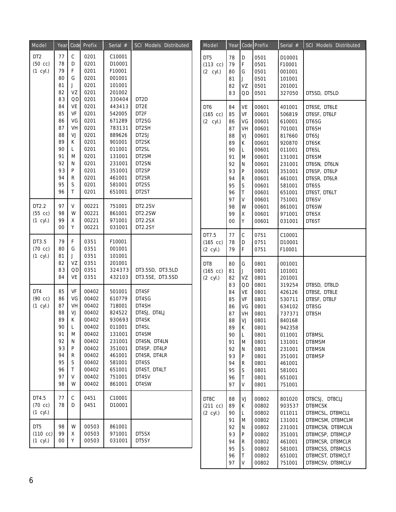| Model                                      | Year                                                                             |                                                                        | Code Prefix                                                                                                                | Serial #                                                                                                                                 | SCI Models Distributed                                                                                                                                        | Model                                               | Year                                                                             |                                                                                                                             | Code Prefix                                                                                                          | Serial #                                                                                                                                           | SCI Models Distributed                                                                                                                                      |
|--------------------------------------------|----------------------------------------------------------------------------------|------------------------------------------------------------------------|----------------------------------------------------------------------------------------------------------------------------|------------------------------------------------------------------------------------------------------------------------------------------|---------------------------------------------------------------------------------------------------------------------------------------------------------------|-----------------------------------------------------|----------------------------------------------------------------------------------|-----------------------------------------------------------------------------------------------------------------------------|----------------------------------------------------------------------------------------------------------------------|----------------------------------------------------------------------------------------------------------------------------------------------------|-------------------------------------------------------------------------------------------------------------------------------------------------------------|
| DT <sub>2</sub><br>$(50$ cc)<br>$(1$ cyl.) | 77<br>78<br>79<br>80<br>81<br>82<br>83                                           | С<br>D<br>F<br>G<br>J<br>VZ<br>QD                                      | 0201<br>0201<br>0201<br>0201<br>0201<br>0201<br>0201                                                                       | C10001<br>D10001<br>F10001<br>001001<br>101001<br>201002<br>330404                                                                       | DT <sub>2</sub> D                                                                                                                                             | DT5<br>$(113$ cc)<br>$(2 \text{ cyl.})$             | 78<br>79<br>80<br>81<br>82<br>83                                                 | D<br>$\mathsf F$<br>G<br>$\sf J$<br>VZ<br>QD                                                                                | 0501<br>0501<br>0501<br>0501<br>0501<br>0501                                                                         | D10001<br>F10001<br>001001<br>101001<br>201001<br>327050                                                                                           | DT5SD, DT5LD                                                                                                                                                |
|                                            | 84<br>85<br>86<br>87<br>88<br>89<br>90<br>91<br>92<br>93<br>94<br>95<br>96       | VE<br>VF<br>VG<br>VH<br>VJ<br>K<br>L<br>M<br>N<br>P<br>R<br>S<br>T.    | 0201<br>0201<br>0201<br>0201<br>0201<br>0201<br>0201<br>0201<br>0201<br>0201<br>0201<br>0201<br>0201                       | 443413<br>542005<br>671289<br>783131<br>889626<br>901001<br>011001<br>131001<br>231001<br>351001<br>461001<br>581001<br>651001           | DT2E<br>DT2F<br>DT2SG<br>DT2SH<br>DT2SJ<br>DT2SK<br>DT2SL<br>DT2SM<br>DT2SN<br>DT2SP<br>DT2SR<br>DT2SS<br>DT2ST                                               | DT <sub>6</sub><br>$(165$ cc)<br>$(2 \text{ cyl.})$ | 84<br>85<br>86<br>87<br>88<br>89<br>90<br>91<br>92<br>93<br>94<br>95<br>96       | VE<br>VF<br>VG<br>VH<br>VJ<br>К<br>L<br>M<br>${\sf N}$<br>${\sf P}$<br>R<br>$\mathsf S$<br>$\sf T$                          | 00601<br>00601<br>00601<br>00601<br>00601<br>00601<br>00601<br>00601<br>00601<br>00601<br>00601<br>00601<br>00601    | 401001<br>506819<br>610001<br>701001<br>817660<br>920870<br>011001<br>131001<br>231001<br>351001<br>461001<br>581001<br>651001                     | DT6SE, DT6LE<br>DT6SF, DT6LF<br>DT6SG<br>DT6SH<br>DT6SJ<br>DT6SK<br>DT6SL<br>DT6SM<br>DT6SN, DT6LN<br>DT6SP, DT6LP<br>DT6SR, DT6LR<br>DT6SS<br>DT6ST, DT6LT |
| DT2.2<br>$(55$ cc)<br>$(1$ cyl.)           | 97<br>98<br>99<br>00                                                             | V<br>W<br>Χ<br>Υ                                                       | 00221<br>00221<br>00221<br>00221                                                                                           | 751001<br>861001<br>971001<br>031001                                                                                                     | DT2.2SV<br>DT2.2SW<br>DT2.2SX<br>DT2.2SY                                                                                                                      |                                                     | 97<br>98<br>99<br>00                                                             | V<br>W<br>$\mathsf X$<br>Υ                                                                                                  | 00601<br>00601<br>00601<br>00601                                                                                     | 751001<br>861001<br>971001<br>031001                                                                                                               | DT6SV<br>DT6SW<br>DT6SX<br>DT6ST                                                                                                                            |
| DT3.5<br>$(70 \text{ cc})$<br>$(1$ cyl.)   | 79<br>80<br>81                                                                   | F<br>G<br>J                                                            | 0351<br>0351<br>0351                                                                                                       | F10001<br>001001<br>101001                                                                                                               |                                                                                                                                                               | DT7.5<br>$(165$ cc)<br>$(2 \text{ cyl.})$           | 77<br>78<br>79                                                                   | С<br>D<br>$\mathsf F$                                                                                                       | 0751<br>0751<br>0751                                                                                                 | C10001<br>D10001<br>F10001                                                                                                                         |                                                                                                                                                             |
|                                            | 82<br>83<br>84                                                                   | VΖ<br>QD<br>VE                                                         | 0351<br>0351<br>0351                                                                                                       | 201001<br>324373<br>432103                                                                                                               | DT3.5SD, DT3.5LD<br>DT3.5SE, DT3.5SD                                                                                                                          | DT8<br>$(165$ cc)<br>(2 cyl.)                       | 80<br>81<br>82<br>83                                                             | G<br>J<br>VZ                                                                                                                | 0801<br>0801<br>0801                                                                                                 | 001001<br>101001<br>201001                                                                                                                         |                                                                                                                                                             |
| DT4<br>$(90$ cc)<br>$(1$ cyl.)             | 85<br>86<br>87<br>88<br>89<br>90<br>91<br>92<br>93<br>94<br>95<br>96<br>97<br>98 | VF<br>VG<br>VH<br>VJ<br>K<br>L<br>M<br>N<br>P<br>R<br>S<br>Τ<br>V<br>W | 00402<br>00402<br>00402<br>00402<br>00402<br>00402<br>00402<br>00402<br>00402<br>00402<br>00402<br>00402<br>00402<br>00402 | 501001<br>610779<br>718001<br>824522<br>930693<br>011001<br>131001<br>231001<br>351001<br>461001<br>581001<br>651001<br>751001<br>861001 | DT4SF<br>DT4SG<br>DT4SH<br>DT4SJ, DT4LJ<br>DT4SK<br>DT4SL<br>DT4SM<br>DT4SN, DT4LN<br>DT4SP, DT4LP<br>DT4SR, DT4LR<br>DT4SS<br>DT4ST, DT4LT<br>DT4SV<br>DT4SW |                                                     | 84<br>85<br>86<br>87<br>88<br>89<br>90<br>91<br>92<br>93<br>94<br>95<br>96<br>97 | QD<br>VE<br>VF<br>VG<br>VH<br>VJ<br>$\mathsf K$<br>ΙL<br>M<br>${\sf N}$<br>$\mathsf{P}$<br>R<br>$\mathsf S$<br>$\sf T$<br>Λ | 0801<br>0801<br>0801<br>0801<br>0801<br>0801<br>0801<br>0801<br>0801<br>0801<br>0801<br>0801<br>0801<br>0801<br>0801 | 319254<br>426126<br>530711<br>634102<br>737371<br>840168<br>942358<br>011001<br>131001<br>231001<br>351001<br>461001<br>581001<br>651001<br>751001 | DT8SD, DT8LD<br>DT8SE, DT8LE<br>DT8SF, DT8LF<br>DT8SG<br>DT8SH<br>DT8MSL<br>DT8MSM<br>DT8MSN<br>DT8MSP                                                      |
| DT4.5<br>$(70 \text{ cc})$<br>$(1$ cyl.)   | 77<br>78                                                                         | С<br>D                                                                 | 0451<br>0451                                                                                                               | C10001<br>D10001                                                                                                                         |                                                                                                                                                               | DT8C<br>$(211 \ncc)$<br>(2 cyl.)                    | 88<br>89<br>90<br>91                                                             | VJ<br>К<br>$\mathsf L$<br>M                                                                                                 | 00802<br>00802<br>00802<br>00802                                                                                     | 801020<br>903537<br>011011<br>131001                                                                                                               | DT8CSJ, DT8CLJ<br>DT8MCSK<br>DT8MCSL, DT8MCLL<br>DT8MCSM, DT8MCLM                                                                                           |
| DT5<br>$(110 \text{ cc})$<br>$(1$ cyl.)    | 98<br>99<br>$00\,$                                                               | W<br>Χ<br>Υ                                                            | 00503<br>00503<br>00503                                                                                                    | 861001<br>971001<br>031001                                                                                                               | DT5SX<br>DT5SY                                                                                                                                                |                                                     | 92<br>93<br>94<br>95<br>96<br>97                                                 | $\mathsf{N}$<br>$\mathsf{P}$<br>R<br>$\mathsf S$<br>$\ensuremath{\mathsf{T}}$<br>V                                          | 00802<br>00802<br>00802<br>00802<br>00802<br>00802                                                                   | 231001<br>351001<br>461001<br>581001<br>651001<br>751001                                                                                           | DT8MCSN, DT8MCLN<br>DT8MCSP, DT8MCLP<br>DT8MCSR, DT8MCLR<br>DT8MCSS, DT8MCLS<br>DT8MCST, DT8MCLT<br>DT8MCSV, DT8MCLV                                        |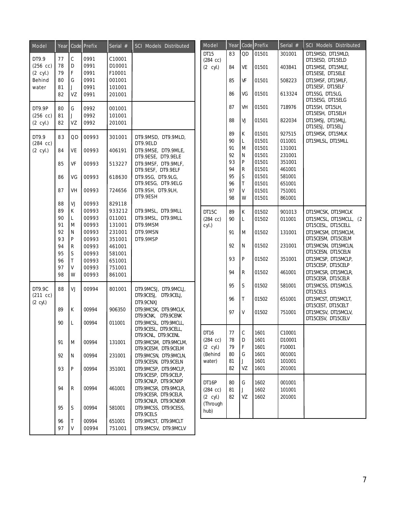| Model              | Year     |              | Code Prefix    | Serial #         | SCI Models Distributed                         |  | Model                                    | Year     |              | Code Prefix    | Serial #         | SCI Models Distributed                    |                                           |
|--------------------|----------|--------------|----------------|------------------|------------------------------------------------|--|------------------------------------------|----------|--------------|----------------|------------------|-------------------------------------------|-------------------------------------------|
| DT9.9              | 77       | C            | 0991           | C10001           |                                                |  | DT15                                     | 83       | QD           | 01501          | 301001           | DT15MSD, DT15MLD,                         |                                           |
| $(256$ cc)         | 78       | D            | 0991           | D10001           |                                                |  | $(284 \text{ cc})$<br>$(2 \text{ cyl.})$ | 84       | VE           | 01501          | 403841           | DT15ESD, DT15ELD<br>DT15MSE, DT15MLE,     |                                           |
| (2 cyl.)           | 79       | F            | 0991           | F10001           |                                                |  |                                          |          |              |                |                  | DT15ESE, DT15ELE                          |                                           |
| Behind             | 80       | G            | 0991           | 001001           |                                                |  |                                          | 85       | VF           | 01501          | 508223           | DT15MSF, DT15MLF,                         |                                           |
| water              | 81       | J            | 0991<br>0991   | 101001<br>201001 |                                                |  |                                          | 86       | VG           | 01501          | 613324           | DT15ESF, DT15ELF<br>DT15SG, DT15LG,       |                                           |
|                    | 82       | VZ           |                |                  |                                                |  |                                          |          |              |                |                  | DT15ESG, DT15ELG                          |                                           |
| DT9.9P             | 80       | G            | 0992           | 001001           |                                                |  |                                          | 87       | VH           | 01501          | 718976           | DT15SH, DT15LH,                           |                                           |
| $(256 \ncc)$       | 81       | J            | 0992           | 101001           |                                                |  |                                          | 88       | VJ           | 01501          | 822034           | DT15ESH, DT15ELH<br>DT15MSJ, DT15MLJ,     |                                           |
| $(2 \text{ cyl.})$ | 82       | ۷Z           | 0992           | 201001           |                                                |  |                                          |          |              |                |                  | DT15ESJ, DT15ELJ                          |                                           |
| DT9.9              | 83       | QD           | 00993          | 301001           | DT9.9MSD, DT9.9MLD,                            |  |                                          | 89       | К            | 01501          | 927515           | DT15MSK, DT15MLK                          |                                           |
| $(284 \text{ cc})$ |          |              |                |                  | DT9.9ELD                                       |  |                                          | 90       | L            | 01501          | 011001           | DT15MLSL, DT15MLL                         |                                           |
| $(2 \text{ cyl.})$ | 84       | VE           | 00993          | 406191           | DT9.9MSE, DT9.9MLE,                            |  |                                          | 91       | M            | 01501          | 131001           |                                           |                                           |
|                    |          |              |                |                  | DT9.9ESE, DT9.9ELE                             |  |                                          | 92<br>93 | N<br>P       | 01501<br>01501 | 231001<br>351001 |                                           |                                           |
|                    | 85       | VF           | 00993          | 513227           | DT9.9MSF, DT9.9MLF,                            |  |                                          | 94       | R            | 01501          | 461001           |                                           |                                           |
|                    | 86       | VG           | 00993          | 618630           | DT9.9ESF, DT9.9ELF<br>DT9.9SG, DT9.9LG,        |  |                                          | 95       | $\mathsf S$  | 01501          | 581001           |                                           |                                           |
|                    |          |              |                |                  | DT9.9ESG, DT9.9ELG                             |  |                                          | 96       | T            | 01501          | 651001           |                                           |                                           |
|                    | 87       | VH           | 00993          | 724656           | DT9.9SH, DT9.9LH,                              |  |                                          | 97       | V            | 01501          | 751001           |                                           |                                           |
|                    |          |              |                |                  | DT9.9ESH                                       |  |                                          | 98       | W            | 01501          | 861001           |                                           |                                           |
|                    | 88       | VJ           | 00993          | 829118           |                                                |  |                                          |          |              |                |                  |                                           |                                           |
|                    | 89       | K            | 00993          | 933212           | DT9.9MSL, DT9.9MLL                             |  | DT <sub>15</sub> C                       | 89       | К            | 01502          | 901013           | DT15MCSK, DT15MCLK                        |                                           |
|                    | 90<br>91 | L            | 00993<br>00993 | 011001<br>131001 | DT9.9MSL, DT9.9MLL<br>DT9.9MSM                 |  | $(284 \text{ cc})$                       | 90       | L            | 01502          | 011001           | DT15MCSL, DT15MCLL, (2                    |                                           |
|                    | 92       | M<br>N       | 00993          | 231001           | DT9.9MSN                                       |  | cyl.)                                    |          |              |                |                  | DT15CESL, DT15CELL                        |                                           |
|                    | 93       | P            | 00993          | 351001           | DT9.9MSP                                       |  |                                          | 91       | M            | 01502          | 131001           | DT15MCSM, DT15MCLM,<br>DT15CESM, DT15CELM |                                           |
|                    | 94       | R            | 00993          | 461001           |                                                |  |                                          | 92       | N            | 01502          | 231001           | DT15MCSN, DT15MCLN,                       |                                           |
|                    | 95       | S            | 00993          | 581001           |                                                |  |                                          |          |              |                |                  | DT15CESN, DT15CELN                        |                                           |
|                    | 96       | $\mathsf{T}$ | 00993          | 651001           |                                                |  |                                          |          | 93           | P              | 01502            | 351001                                    | DT15MCSP, DT15MCLP,                       |
|                    | 97       | V            | 00993          | 751001           |                                                |  |                                          |          | 94           | R              | 01502            | 461001                                    | DT15CESP, DT15CELP<br>DT15MCSR, DT15MCLR, |
|                    | 98       | W            | 00993          | 861001           |                                                |  |                                          |          |              |                |                  | DT15CESR, DT15CELR                        |                                           |
| DT9.9C             | 88       | VJ.          | 00994          | 801001           | DT9.9MCSJ, DT9.9MCLJ,                          |  |                                          | 95       | S            | 01502          | 581001           | DT15MCSS, DT15MCLS,                       |                                           |
| $(211 \ncc)$       |          |              |                |                  | DT9.9CESJ, DT9.9CELJ,                          |  |                                          |          |              |                |                  | DT15CELS                                  |                                           |
| $(2 \text{ cyl.})$ |          |              |                |                  | DT9.9CNXJ                                      |  |                                          | 96       | T            | 01502          | 651001           | DT15MCST, DT15MCLT,<br>DT15CEST, DT15CELT |                                           |
|                    | 89       | K            | 00994          | 906350           | DT9.9MCSK, DT9.9MCLK,                          |  |                                          | 97       | V            | 01502          | 751001           | DT15MCSV, DT15MCLV,                       |                                           |
|                    | 90       | L            | 00994          | 011001           | DT9.9CNK, DT9.9CENK<br>DT9.9MCSL, DT9.9MCLL,   |  |                                          |          |              |                |                  | DT15CESV, DT15CELV                        |                                           |
|                    |          |              |                |                  | DI9.9CESL, DI9.9CELL,                          |  | DT16                                     | 77       | $\mathsf{C}$ | 1601           | C10001           |                                           |                                           |
|                    |          |              |                |                  | DT9.9CNL, DT9.9CENL                            |  | $(284 \text{ cc})$                       | 78       | D            | 1601           | D10001           |                                           |                                           |
|                    | 91       | Μ            | 00994          | 131001           | DT9.9MCSM, DT9.9MCLM,                          |  | $(2 \text{ cyl.})$                       | 79       | F            | 1601           | F10001           |                                           |                                           |
|                    | 92       | N            |                |                  | DT9.9CESM, DT9.9CELM<br>DT9.9MCSN, DT9.9MCLN,  |  | (Behind                                  | 80       | G            | 1601           | 001001           |                                           |                                           |
|                    |          |              | 00994          | 231001           | DT9.9CESN, DT9.9CELN                           |  | water)                                   | 81       | J            | 1601           | 101001           |                                           |                                           |
|                    | 93       | P            | 00994          | 351001           | DT9.9MCSP, DT9.9MCLP,                          |  |                                          | 82       | VZ           | 1601           | 201001           |                                           |                                           |
|                    |          |              |                |                  | DT9.9CESP, DT9.9CELP,                          |  |                                          |          |              |                |                  |                                           |                                           |
|                    |          |              |                |                  | DT9.9CNLP, DT9.9CNXP                           |  | DT16P                                    | 80       | G            | 1602           | 001001           |                                           |                                           |
|                    | 94       | R            | 00994          | 461001           | DT9.9MCSR, DT9.9MCLR,<br>DT9.9CESR, DT9.9CELR, |  | $(284 \text{ cc})$                       | 81       |              | 1602           | 101001           |                                           |                                           |
|                    |          |              |                |                  | DT9.9CNLR, DT9.9CNEXR                          |  | $(2 \text{ cyl.})$                       | 82       | VZ           | 1602           | 201001           |                                           |                                           |
|                    | 95       | S            | 00994          | 581001           | DT9.9MCSS, DT9.9CESS,                          |  | (Through<br>hub)                         |          |              |                |                  |                                           |                                           |
|                    |          |              |                |                  | DT9.9CELS                                      |  |                                          |          |              |                |                  |                                           |                                           |
|                    | 96       | $\mathsf{T}$ | 00994          | 651001           | DT9.9MCST, DT9.9MCLT                           |  |                                          |          |              |                |                  |                                           |                                           |
|                    | 97       | V            | 00994          | 751001           | DT9.9MCSV, DT9.9MCLV                           |  |                                          |          |              |                |                  |                                           |                                           |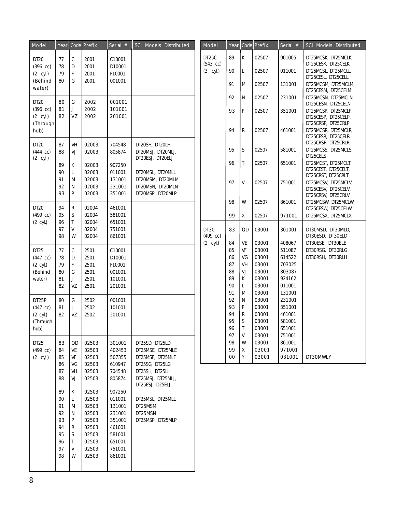| Model                                        |                |                             | Year   Code   Prefix    | Serial $#$                 | SCI Models Distributed                                   |      | Model                            | Year     |                   | Code Prefix    | Serial $#$       | SCI Models Distributed                                           |
|----------------------------------------------|----------------|-----------------------------|-------------------------|----------------------------|----------------------------------------------------------|------|----------------------------------|----------|-------------------|----------------|------------------|------------------------------------------------------------------|
| DT20                                         | 77             | $\mathsf C$                 | 2001                    | C10001                     |                                                          |      | DT <sub>25</sub> C<br>$(543$ cc) | 89       | К                 | 02507          | 901005           | DT25MCSK, DT25MCLK,<br>DT25CESK, DT25CELK                        |
| $(396 \text{ cc})$<br>$(2 \text{ cyl.})$     | 78<br>79       | D<br>$\mathsf F$            | 2001<br>2001            | D10001<br>F10001           |                                                          |      | $(3$ cyl.)                       | 90       | L                 | 02507          | 011001           | DT25MCSL, DT25MCLL,<br>DT25CESL, DT25CELL                        |
| (Behind<br>water)                            | 80             | G                           | 2001                    | 001001                     |                                                          |      |                                  | 91       | M                 | 02507          | 131001           | DT25MCSM, DT25MCLM,<br>DT25CESM, DT25CELM                        |
| DT <sub>20</sub>                             | 80             | G                           | 2002                    | 001001                     |                                                          |      |                                  | 92       | N                 | 02507          | 231001           | DT25MCSN, DT25MCLN,<br>DT25CESN, DT25CELN                        |
| $(396$ cc)<br>$(2 \text{ cyl.})$<br>(Through | 81<br>82       | J<br>VZ                     | 2002<br>2002            | 101001<br>201001           |                                                          |      |                                  | 93       | P                 | 02507          | 351001           | DT25MCSP, DT25MCLP,<br>DT25CESP, DT25CELP,<br>DT25CRSP, DT25CRLP |
| hub)<br>DT <sub>20</sub>                     | 87             | VH                          | 02003                   | 704548                     | DT20SH, DT20LH                                           |      |                                  | 94       | R                 | 02507          | 461001           | DT25MCSR, DT25MCLR,<br>DT25CESR, DT25CELR,<br>DT25CRSR, DT25CRLR |
| $(444$ cc)<br>$(2 \text{ cyl.})$             | 88             | VJ                          | 02003                   | 805874                     | DT20MSJ, DT20MLJ,<br>DT20ESJ, DT20ELJ                    |      |                                  | 95       | S                 | 02507          | 581001           | DT25MCSS, DT25MCLS,<br>DT25CELS                                  |
|                                              | 89<br>90       | К<br>L                      | 02003<br>02003          | 907250<br>011001           | DT20MSL, DT20MLL                                         |      |                                  | 96       | T                 | 02507          | 651001           | DT25MCST, DT25MCLT,<br>DT25CEST, DT25CELT,<br>DT25CRST, DT25CRLT |
|                                              | 91<br>92<br>93 | M<br>N<br>P                 | 02003<br>02003<br>02003 | 131001<br>231001<br>351001 | DT20MSM, DT20MLM<br>DT20MSN, DT20MLN<br>DT20MSP, DT20MLP |      |                                  | 97       | V                 | 02507          | 751001           | DT25MCSV, DT25MCLV,<br>DT25CESV, DT25CELV,<br>DT25CRSV, DT25CRLV |
| DT20                                         | 94             | $\mathsf R$                 | 02004                   | 461001                     |                                                          |      |                                  | 98       | W                 | 02507          | 861001           | DT25MCSW, DT25MCLW,<br>DT25CESW, DT25CELW                        |
| $(499$ cc)<br>$(2 \text{ cyl.})$             | 95<br>96       | $\mathsf S$<br>$\mathsf{T}$ | 02004<br>02004          | 581001<br>651001           |                                                          |      |                                  | 99       | Χ                 | 02507          | 971001           | DT25MCSX, DT25MCLX                                               |
|                                              | 97<br>98       | V<br>W                      | 02004<br>02004          | 751001<br>861001           |                                                          | DT30 | $(499$ cc)                       | 83       | QD                | 03001          | 301001           | DT30MSD, DT30MLD,<br>DT30ESD, DT30ELD                            |
|                                              |                |                             |                         |                            |                                                          |      | $(2 \text{ cyl.})$               | 84       | VE                | 03001          | 408067           | DT30ESE, DT30ELE                                                 |
| DT <sub>25</sub>                             | 77             | $\mathsf C$                 | 2501<br>2501            | C10001<br>D10001           |                                                          |      |                                  | 85<br>86 | VF<br>VG          | 03001<br>03001 | 511087<br>614522 | DT30RSG, DT30RLG<br>DT30RSH, DT30RLH                             |
| $(447$ cc)<br>$(2 \text{ cyl.})$             | 78<br>79       | D<br>$\mathsf F$            | 2501                    | F10001                     |                                                          |      |                                  | 87       | VH                | 03001          | 703025           |                                                                  |
| (Behind                                      | 80             | G                           | 2501                    | 001001                     |                                                          |      |                                  | 88       | VJ                | 03001          | 803087           |                                                                  |
| water)                                       | 81             | J                           | 2501                    | 101001                     |                                                          |      |                                  | 89       | К                 | 03001          | 924162           |                                                                  |
|                                              | 82             | VZ                          | 2501                    | 201001                     |                                                          |      |                                  | 90       | L                 | 03001          | 011001           |                                                                  |
|                                              |                |                             |                         |                            |                                                          |      |                                  | 91       | M                 | 03001          | 131001           |                                                                  |
| DT25P<br>$(447$ cc)                          | 80             | G                           | 2502                    | 001001                     |                                                          |      |                                  | 92<br>93 | N<br>$\mathsf{P}$ | 03001<br>03001 | 231001<br>351001 |                                                                  |
| $(2 \text{ cyl.})$                           | 81<br>82       | J<br>VZ                     | 2502<br>2502            | 101001<br>201001           |                                                          |      |                                  | 94       | R                 | 03001          | 461001           |                                                                  |
| (Through                                     |                |                             |                         |                            |                                                          |      |                                  | 95       | S                 | 03001          | 581001           |                                                                  |
| hub)                                         |                |                             |                         |                            |                                                          |      |                                  | 96       | T                 | 03001          | 651001           |                                                                  |
|                                              |                |                             |                         |                            |                                                          |      |                                  | 97       | V                 | 03001          | 751001           |                                                                  |
| DT <sub>25</sub>                             | 83             | QD                          | 02503                   | 301001                     | DT25SD, DT25LD                                           |      |                                  | 98       | W                 | 03001          | 861001           |                                                                  |
| $(499$ cc)                                   | 84             | VE<br>VF                    | 02503                   | 402453                     | DT25MSE, DT25MLE                                         |      |                                  | 99<br>00 | Χ<br>Υ            | 03001<br>03001 | 971001<br>031001 | DT30MWLY                                                         |
| $(2 \text{ cyl.})$                           | 85<br>86       | VG                          | 02503<br>02503          | 507355<br>610947           | DT25MSF, DT25MLF<br>DT25SG, DT25LG                       |      |                                  |          |                   |                |                  |                                                                  |
|                                              | 87             | VH                          | 02503                   | 704548                     | DT25SH, DT25LH                                           |      |                                  |          |                   |                |                  |                                                                  |
|                                              | 88             | VJ                          | 02503                   | 805874                     | DT25MSJ, DT25MLJ,<br>DT25ESJ, D25ELJ                     |      |                                  |          |                   |                |                  |                                                                  |
|                                              | 89             | K                           | 02503                   | 907250                     |                                                          |      |                                  |          |                   |                |                  |                                                                  |
|                                              | 90             | L.                          | 02503                   | 011001                     | DT25MSL, DT25MLL                                         |      |                                  |          |                   |                |                  |                                                                  |
|                                              | 91<br>92       | M<br>N                      | 02503<br>02503          | 131001<br>231001           | DT25MSM<br>DT25MSN                                       |      |                                  |          |                   |                |                  |                                                                  |
|                                              | 93             | P                           | 02503                   | 351001                     | DT25MSP, DT25MLP                                         |      |                                  |          |                   |                |                  |                                                                  |
|                                              | 94             | R                           | 02503                   | 461001                     |                                                          |      |                                  |          |                   |                |                  |                                                                  |
|                                              | 95             | S                           | 02503                   | 581001                     |                                                          |      |                                  |          |                   |                |                  |                                                                  |
|                                              | 96             | T                           | 02503                   | 651001                     |                                                          |      |                                  |          |                   |                |                  |                                                                  |
|                                              | 97             | V                           | 02503                   | 751001                     |                                                          |      |                                  |          |                   |                |                  |                                                                  |
|                                              | 98             | W                           | 02503                   | 861001                     |                                                          |      |                                  |          |                   |                |                  |                                                                  |
|                                              |                |                             |                         |                            |                                                          |      |                                  |          |                   |                |                  |                                                                  |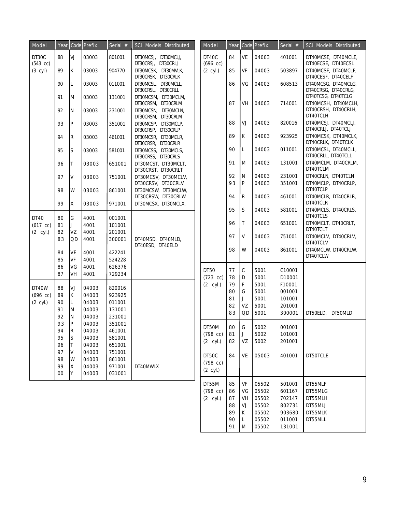| Model                            | Year     |           | Code Prefix    | Serial $#$       | <b>SCI Models Distributed</b>                                   | Model                            | Year     |              | Code Prefix  | Serial $#$       | SCI Models Distributed                                 |
|----------------------------------|----------|-----------|----------------|------------------|-----------------------------------------------------------------|----------------------------------|----------|--------------|--------------|------------------|--------------------------------------------------------|
| DT30C<br>$(543$ cc)              | 88       | VJ        | 03003          | 801001           | DT30MCSJ, DT30MCLJ,<br>DT30CRSJ, DT30CRLJ                       | DT40C<br>$(696$ cc)              | 84       | VE           | 04003        | 401001           | DT40MCSE, DT40MCLE,<br>DT40ECSE, DT40ECSL              |
| $(3$ cyl.)                       | 89       | Iк.       | 03003          | 904770           | DT30MCSK, DT30MVLK,<br>DT30CRSK, DT30CRLK                       | $(2 \text{ cyl.})$               | 85       | VF           | 04003        | 503897           | DT40MCSF, DT40MCLF,<br>DT40CESF, DT40CELF              |
|                                  | 90       | L.        | 03003          | 011001           | DT30MCSL, DT30MCLL,                                             |                                  | 86       | VG           | 04003        | 608513           | DT40MCSG, DT40MCLG,                                    |
|                                  | 91       | M         | 03003          | 131001           | DT30CRSL, DT30CRLL<br>DT30MCSM, DT30MCLM,                       |                                  |          |              |              |                  | DT40CRSG, DT40CRLG,<br>DT40TCSG, DT40TCLG              |
|                                  | 92       | N         | 03003          | 231001           | DT30CRSM, DT30CRLM<br>DT30MCSN, DT30MCLN,<br>DT30CRSM, DT30CRLM |                                  | 87       | VH           | 04003        | 714001           | DT40MCSH, DT40MCLH,<br>DT40CRSH, DT40CRLH,<br>DT40TCLH |
|                                  | 93       | P         | 03003          | 351001           | DT30MCSP, DT30MCLP,<br>DT30CRSP, DT30CRLP                       |                                  | 88       | VJ           | 04003        | 820016           | DT40MCSJ, DT40MCLJ,<br>DT40CRLJ, DT40TCLJ              |
|                                  | 94       | R         | 03003          | 461001           | DT30MCSR, DT30MCLR,<br>DT30CRSR, DT30CRLR                       |                                  | 89       | K            | 04003        | 923925           | DT40MCSK, DT40MCLK,<br>DT40CRLK, DT40TCLK              |
|                                  | 95       | S         | 03003          | 581001           | DT30MCSS, DT30MCLS,<br>DT30CRSS, DT30CRLS                       |                                  | 90       | Г            | 04003        | 011001           | DT40MCSL, DT40MCLL,<br>DT40CRLL, DT40TCLL              |
|                                  | 96       |           | 03003          | 651001           | DT30MCST, DT30MCLT,<br>DT30CRST, DT30CRLT                       |                                  | 91       | M            | 04003        | 131001           | DT40MCLM, DT40CRLM,<br>DT40TCLM                        |
|                                  | 97       | V         | 03003          | 751001           | DT30MCSV, DT30MCLV,                                             |                                  | 92       | N            | 04003        | 231001           | DT40CRLN, DT40TCLN                                     |
|                                  | 98       | W         | 03003          | 861001           | DT30CRSV, DT30CRLV<br>DT30MCSW, DT30MCLW,                       |                                  | 93       | P            | 04003        | 351001           | DT40MCLP, DT40CRLP,<br>DT40TCLP                        |
|                                  | 99       | χ         | 03003          | 971001           | DT30CRSW, DT30CRLW<br>DT30MCSX, DT30MCLX,                       |                                  | 94       | R            | 04003        | 461001           | DT40MCLR, DT40CRLR,<br>DT40TCLR                        |
|                                  |          |           |                |                  |                                                                 |                                  | 95       | S            | 04003        | 581001           | DT40MCLS, DT40CRLS.<br>DT40TCLS                        |
| DT40<br>$(617$ cc)               | 80<br>81 | G<br>IJ.  | 4001<br>4001   | 001001<br>101001 |                                                                 |                                  | 96       | T            | 04003        | 651001           | DT40MCLT, DT40CRLT,<br>DT40TCLT                        |
| $(2 \text{ cyl.})$               | 82<br>83 | VZ<br>OD. | 4001<br>4001   | 201001<br>300001 | DT40MSD, DT40MLD,                                               |                                  | 97       | V            | 04003        | 751001           | DT40MCLV, DT40CRLV,<br>DT40TCLV                        |
|                                  | 84       | VE        | 4001           | 422241           | DT40ESD, DT40ELD                                                |                                  | 98       | W            | 04003        | 861001           | DT40MCLW, DT40CRLW,<br>DT40TCLW                        |
|                                  | 85       | VF<br>VG  | 4001<br>4001   | 524228           |                                                                 |                                  |          |              |              |                  |                                                        |
|                                  | 86<br>87 | VH        | 4001           | 626376<br>729234 |                                                                 | DT50                             | 77       | $\mathsf C$  | 5001         | C10001           |                                                        |
|                                  |          |           |                |                  |                                                                 | $(723$ cc)<br>$(2 \text{ cyl.})$ | 78<br>79 | D<br>F       | 5001<br>5001 | D10001<br>F10001 |                                                        |
| DT40W                            | 88       | VJ        | 04003          | 820016           |                                                                 |                                  | 80       | G            | 5001         | 001001           |                                                        |
| $(696$ cc)<br>$(2 \text{ cyl.})$ | 89<br>90 | ΙK.<br>L  | 04003<br>04003 | 923925<br>011001 |                                                                 |                                  | 81       | $\mathbf{J}$ | 5001         | 101001           |                                                        |
|                                  | 91       | ΙM        | 04003          | 131001           |                                                                 |                                  | 82       | VZ           | 5001         | 201001           |                                                        |
|                                  | 92       | IN        | 04003          | 231001           |                                                                 |                                  | 83       | QD           | 5001         | 300001           | DT50ELD. DT50MLD                                       |
|                                  | 93       | P         | 04003          | 351001           |                                                                 | DT50M                            | 80       | l G          | 5002         | 001001           |                                                        |
|                                  | 94       | ΙK        | 04003          | 461001           |                                                                 | $(798 \text{ cc})$               | 81       | IJ           | 5002         | 101001           |                                                        |
|                                  | 95<br>96 | s         | 04003<br>04003 | 581001           |                                                                 | $(2 \text{ cyl.})$               | 82       | VZ           | 5002         | 201001           |                                                        |
|                                  | 97       | lV        | 04003          | 651001<br>751001 |                                                                 |                                  |          |              |              |                  |                                                        |
|                                  | 98       | W         | 04003          | 861001           |                                                                 | DT50C                            | 84       | VE           | 05003        | 401001           | DT50TCLE                                               |
|                                  | 99       | X         | 04003          | 971001           | DT40MWLX                                                        | $(798$ cc)                       |          |              |              |                  |                                                        |
|                                  | $00\,$   | ΙY        | 04003          | 031001           |                                                                 | $(2 \text{ cyl.})$               |          |              |              |                  |                                                        |
|                                  |          |           |                |                  |                                                                 | DT55M                            | 85       | VF           | 05502        | 501001           | DT55MLF                                                |
|                                  |          |           |                |                  |                                                                 | $(798$ cc)                       | 86       | VG           | 05502        | 601167           | DT55MLG                                                |
|                                  |          |           |                |                  |                                                                 | $(2 \text{ cyl.})$               | 87       | VH           | 05502        | 702147           | DT55MLH                                                |
|                                  |          |           |                |                  |                                                                 |                                  | 88       | VJ           | 05502        | 802731           | DT55MLJ                                                |
|                                  |          |           |                |                  |                                                                 |                                  | 89       | К            | 05502        | 903680           | DT55MLK                                                |

90 L 05502 011001 DT55MLL

91 M 05502 131001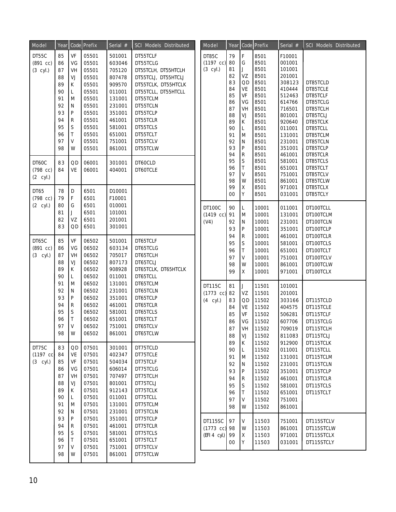| Model              | Year     |                              | Code Prefix    | Serial $#$       | <b>SCI Models Distributed</b> | Model               | Year     |                  | Code Prefix  | Serial #         | SCI Models Distributed |
|--------------------|----------|------------------------------|----------------|------------------|-------------------------------|---------------------|----------|------------------|--------------|------------------|------------------------|
| DT55C              | 85       | VF                           | 05501          | 501001           | DT55TCLF                      | DT85C               | 79       | F                | 8501         | F10001           |                        |
| $(891 \ncc)$       | 86       | VG                           | 05501          | 603046           | DT55TCLG                      | $(1197 \text{ cc})$ | 80       | G                | 8501         | 001001           |                        |
| $(3$ cyl.)         | 87       | VH                           | 05501          | 705120           | DT55TCLH, DT55HTCLH           | $(3$ cyl.)          | 81       | J                | 8501         | 101001           |                        |
|                    | 88       | VJ                           | 05501          | 807478           | DT55TCLJ, DT55HTCLJ           |                     | 82       | VZ               | 8501         | 201001           |                        |
|                    | 89       | К                            | 05501          | 909570           | DT55TCLK, DT55HTCLK           |                     | 83       | QD               | 8501         | 308123           | DT85TCLD               |
|                    | 90       | Г                            | 05501          | 011001           | DT55TCLL, DT55HTCLL           |                     | 84       | VE               | 8501         | 410444           | DT85TCLE               |
|                    | 91       | M                            | 05501          | 131001           | DT55TCLM                      |                     | 85       | VF               | 8501         | 512463           | DT85TCLF               |
|                    | 92       | N                            | 05501          | 231001           | DT55TCLN                      |                     | 86<br>87 | VG<br>VH         | 8501         | 614766           | DT85TCLG               |
|                    | 93       | P                            | 05501          | 351001           | DT55TCLP                      |                     | 88       | VJ               | 8501<br>8501 | 716501<br>801001 | DT85TCLH<br>DT85TCLJ   |
|                    | 94       | R                            | 05501          | 461001           | DT55TCLR                      |                     | 89       | К                | 8501         | 920640           | DT85TCLK               |
|                    | 95       | $\mathsf S$                  | 05501          | 581001           | DT55TCLS                      |                     | 90       | L                | 8501         | 011001           | DT85TCLL               |
|                    | 96       | T                            | 05501          | 651001           | DT55TCLT                      |                     | 91       | M                | 8501         | 131001           | DT85TCLM               |
|                    | 97       | V                            | 05501          | 751001           | DT55TCLV                      |                     | 92       | N                | 8501         | 231001           | DT85TCLN               |
|                    | 98       | W                            | 05501          | 861001           | DT55TCLW                      |                     | 93       | P                | 8501         | 351001           | DT85TCLP               |
|                    |          |                              |                |                  |                               |                     | 94       | ${\sf R}$        | 8501         | 461001           | DT85TCLR               |
| DT60C              | 83       | QD                           | 06001          | 301001           | DT60CLD                       |                     | 95       | $\mathsf S$      | 8501         | 581001           | DT85TCLS               |
| $(798 \text{ cc})$ | 84       | VE                           | 06001          | 404001           | DT60TCLE                      |                     | 96<br>97 | T<br>V           | 8501         | 651001           | DT85TCLT               |
| $(2 \text{ cyl.})$ |          |                              |                |                  |                               |                     | 98       | W                | 8501<br>8501 | 751001<br>861001 | DT85TCLV<br>DT85TCLW   |
|                    |          |                              |                |                  |                               |                     | 99       | Χ                | 8501         | 971001           | DT85TCLX               |
| DT65<br>$(798$ cc) | 78<br>79 | D<br>F                       | 6501<br>6501   | D10001<br>F10001 |                               |                     | 00       | Y                | 8501         | 031001           | DT85TCLY               |
| $(2 \text{ cyl.})$ | 80       | G                            | 6501           | 010001           |                               | <b>DT100C</b>       | 90       | L                | 10001        | 011001           | DT100TCLL              |
|                    | 81       | J                            | 6501           | 101001           |                               | $(1419 \text{ cc})$ | 91       | M                | 10001        | 131001           | DT100TCLM              |
|                    | 82       | VZ                           | 6501           | 201001           |                               | (V4)                | 92       | N                | 10001        | 231001           | DT100TCLN              |
|                    | 83       | QD                           | 6501           | 301001           |                               |                     | 93       | P                | 10001        | 351001           | DT100TCLP              |
|                    |          |                              |                |                  |                               |                     | 94       | $\mathsf{R}$     | 10001        | 461001           | DT100TCLR              |
| DT65C              | 85       | VF                           | 06502          | 501001           | DT65TCLF                      |                     | 95       | $\mathsf S$      | 10001        | 581001           | DT100TCLS              |
| (891 cc)           | 86       | VG                           | 06502          | 603134           | DT65TCLG                      |                     | 96       | T                | 10001        | 651001           | DT100TCLT              |
| $(3$ cyl.)         | 87       | VH                           | 06502          | 705017           | DT65TCLH                      |                     | 97       | V                | 10001        | 751001           | DT100TCLV              |
|                    | 88       | VJ                           | 06502          | 807173           | DT65TCLJ                      |                     | 98       | W                | 10001        | 861001           | DT100TCLW              |
|                    | 89       | К                            | 06502          | 908928           | DT65TCLK, DT65HTCLK           |                     | 99       | $\mathsf{X}$     | 10001        | 971001           | DT100TCLX              |
|                    | 90       | L                            | 06502          | 011001           | DT65TCLL                      |                     |          |                  |              |                  |                        |
|                    | 91       | M                            | 06502          | 131001           | DT65TCLM                      | DT115C              | 81       | J                | 11501        | 101001           |                        |
|                    | 92       | N                            | 06502          | 231001           | DT65TCLN                      | $(1773$ cc)         | 82       | VZ               | 11501        | 201001           |                        |
|                    | 93       | P                            | 06502          | 351001           | DT65TCLP                      | $(4$ cyl.)          | 83       | QD               | 11502        | 303166           | DT115TCLD              |
|                    | 94       | R                            | 06502          | 461001           | DT65TCLR                      |                     | 84       | VE               | 11502        | 404575           | DT115TCLE              |
|                    | 95       | S                            | 06502          | 581001           | DT65TCLS                      |                     | 85       | VF               | 11502        | 506281           | DT115TCLF              |
|                    | 96<br>97 | $\mathsf{T}$<br>$\mathsf{V}$ | 06502          | 651001<br>751001 | DT65TCLT<br>DT65TCLV          |                     | 86       | VG               | 11502        | 607706           | DT115TCLG              |
|                    | 98       | W                            | 06502<br>06502 | 861001           | DT65TCLW                      |                     | 87       | VH               | 11502        | 709019           | DT115TCLH              |
|                    |          |                              |                |                  |                               |                     | 88       | VJ               | 11502        | 811083           | DT115TCLJ              |
| DT75C              | 83       | QD                           | 07501          | 301001           | DT75TCLD                      |                     | 89       | К                | 11502        | 912900           | DT115TCLK              |
| $(1197 \ncc)$      | 84       | VE                           | 07501          | 402347           | DT75TCLE                      |                     | 90       | L                | 11502        | 011001           | DT115TCLL              |
| $(3$ cyl.)         | 85       | VF                           | 07501          | 504034           | DT75TCLF                      |                     | 91       | M                | 11502        | 131001           | DT115TCLM              |
|                    | 86       | VG                           | 07501          | 606014           | DT75TCLG                      |                     | 92       | $\mathsf{N}$     | 11502        | 231001           | DT115TCLN              |
|                    | 87       | VH                           | 07501          | 707497           | DT75TCLH                      |                     | 93       | P                | 11502        | 351001           | DT115TCLP              |
|                    | 88       | VJ                           | 07501          | 801001           | DT75TCLJ                      |                     | 94       | $\mathsf{R}$     | 11502        | 461001           | DT115TCLR              |
|                    | 89       | К                            | 07501          | 912143           | DT75TCLK                      |                     | 95       | S                | 11502        | 581001           | DT115TCLS              |
|                    | 90       | L                            | 07501          | 011001           | DT75TCLL                      |                     | 96<br>97 | Τ                | 11502        | 651001           | DT115TCLT              |
|                    | 91       | M                            | 07501          | 131001           | DT75TCLM                      |                     | 98       | V                | 11502        | 751001           |                        |
|                    | 92       | N                            | 07501          | 231001           | DT75TCLN                      |                     |          | W                | 11502        | 861001           |                        |
|                    | 93       | P                            | 07501          | 351001           | DT75TCLP                      | DT115SC             | 97       | V                | 11503        | 751001           | DT115STCLV             |
|                    | 94       | R                            | 07501          | 461001           | DT75TCLR                      | $(1773 \text{ cc})$ | 98       | W                | 11503        | 861001           | DT115STCLW             |
|                    | 95       | S                            | 07501          | 581001           | DT75TCLS                      | (EFI 4 cyl.)        | 99       | $\boldsymbol{X}$ | 11503        | 971001           | DT115STCLX             |
|                    | 96       | T                            | 07501          | 651001           | DT75TCLT                      |                     | 00       | Y                | 11503        | 031001           | DT115STCLY             |
|                    | 97       | V                            | 07501          | 751001           | DT75TCLV                      |                     |          |                  |              |                  |                        |
|                    | 98       | W                            | 07501          | 861001           | DT75TCLW                      |                     |          |                  |              |                  |                        |